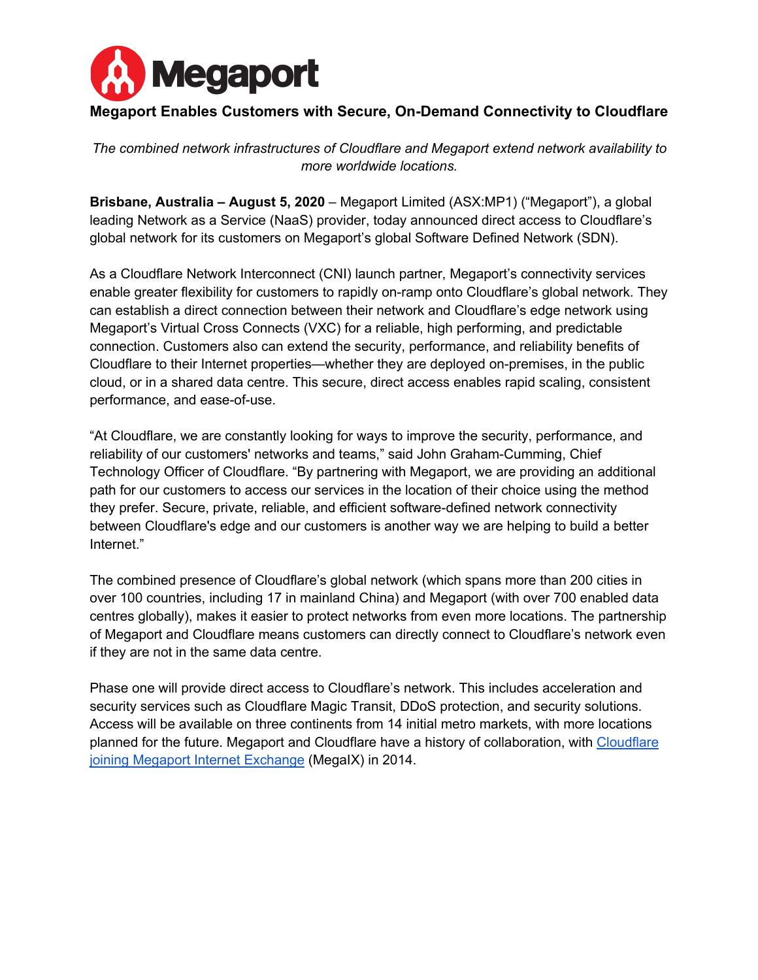

# **Megaport Enables Customers with Secure, On-Demand Connectivity to Cloudflare**

*The combined network infrastructures of Cloudflare and Megaport extend network availability to more worldwide locations.*

**Brisbane, Australia – August 5, 2020** – Megaport Limited (ASX:MP1) ("Megaport"), a global leading Network as a Service (NaaS) provider, today announced direct access to Cloudflare's global network for its customers on Megaport's global Software Defined Network (SDN).

As a Cloudflare Network Interconnect (CNI) launch partner, Megaport's connectivity services enable greater flexibility for customers to rapidly on-ramp onto Cloudflare's global network. They can establish a direct connection between their network and Cloudflare's edge network using Megaport's Virtual Cross Connects (VXC) for a reliable, high performing, and predictable connection. Customers also can extend the security, performance, and reliability benefits of Cloudflare to their Internet properties—whether they are deployed on-premises, in the public cloud, or in a shared data centre. This secure, direct access enables rapid scaling, consistent performance, and ease-of-use.

"At Cloudflare, we are constantly looking for ways to improve the security, performance, and reliability of our customers' networks and teams," said John Graham-Cumming, Chief Technology Officer of Cloudflare. "By partnering with Megaport, we are providing an additional path for our customers to access our services in the location of their choice using the method they prefer. Secure, private, reliable, and efficient software-defined network connectivity between Cloudflare's edge and our customers is another way we are helping to build a better Internet."

The combined presence of Cloudflare's global network (which spans more than 200 cities in over 100 countries, including 17 in mainland China) and Megaport (with over 700 enabled data centres globally), makes it easier to protect networks from even more locations. The partnership of Megaport and Cloudflare means customers can directly connect to Cloudflare's network even if they are not in the same data centre.

Phase one will provide direct access to Cloudflare's network. This includes acceleration and security services such as Cloudflare Magic Transit, DDoS protection, and security solutions. Access will be available on three continents from 14 initial metro markets, with more locations planned for the future. Megaport and Cloudflare have a history of collaboration, with Cloudflare joining Megaport Internet Exchange (MegaIX) in 2014.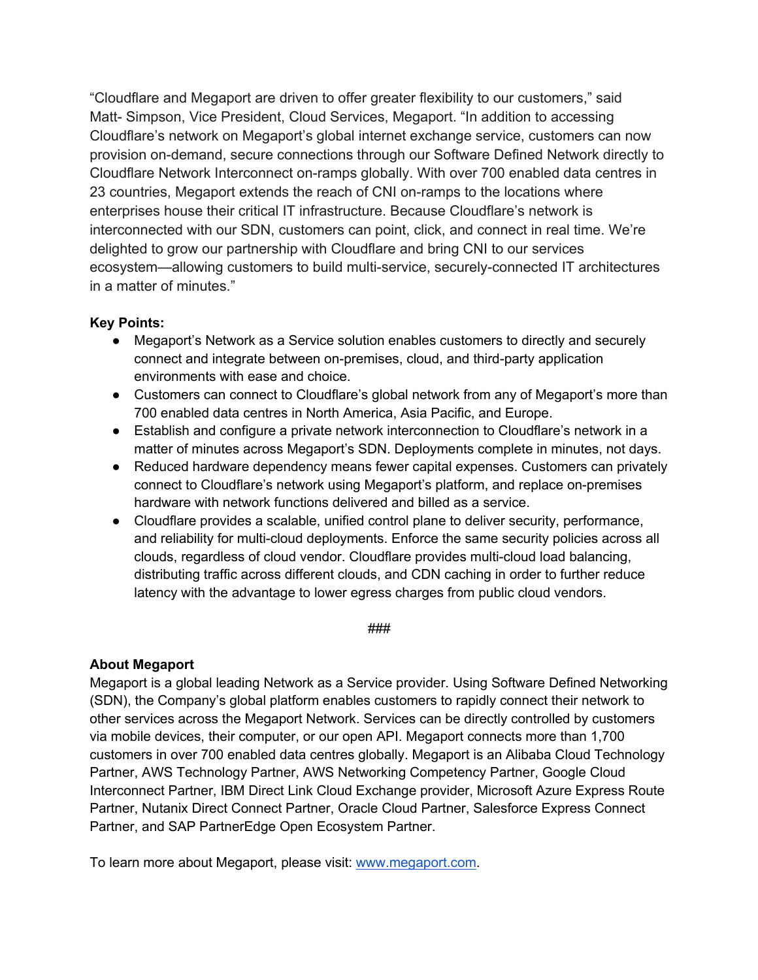"Cloudflare and Megaport are driven to offer greater flexibility to our customers," said Matt- Simpson, Vice President, Cloud Services, Megaport. "In addition to accessing Cloudflare's network on Megaport's global internet exchange service, customers can now provision on-demand, secure connections through our Software Defined Network directly to Cloudflare Network Interconnect on-ramps globally. With over 700 enabled data centres in 23 countries, Megaport extends the reach of CNI on-ramps to the locations where enterprises house their critical IT infrastructure. Because Cloudflare's network is interconnected with our SDN, customers can point, click, and connect in real time. We're delighted to grow our partnership with Cloudflare and bring CNI to our services ecosystem—allowing customers to build multi-service, securely-connected IT architectures in a matter of minutes."

## **Key Points:**

- Megaport's Network as a Service solution enables customers to directly and securely connect and integrate between on-premises, cloud, and third-party application environments with ease and choice.
- Customers can connect to Cloudflare's global network from any of Megaport's more than 700 enabled data centres in North America, Asia Pacific, and Europe.
- Establish and configure a private network interconnection to Cloudflare's network in a matter of minutes across Megaport's SDN. Deployments complete in minutes, not days.
- Reduced hardware dependency means fewer capital expenses. Customers can privately connect to Cloudflare's network using Megaport's platform, and replace on-premises hardware with network functions delivered and billed as a service.
- Cloudflare provides a scalable, unified control plane to deliver security, performance, and reliability for multi-cloud deployments. Enforce the same security policies across all clouds, regardless of cloud vendor. Cloudflare provides multi-cloud load balancing, distributing traffic across different clouds, and CDN caching in order to further reduce latency with the advantage to lower egress charges from public cloud vendors.

#### ###

### **About Megaport**

Megaport is a global leading Network as a Service provider. Using Software Defined Networking (SDN), the Company's global platform enables customers to rapidly connect their network to other services across the Megaport Network. Services can be directly controlled by customers via mobile devices, their computer, or our open API. Megaport connects more than 1,700 customers in over 700 enabled data centres globally. Megaport is an Alibaba Cloud Technology Partner, AWS Technology Partner, AWS Networking Competency Partner, Google Cloud Interconnect Partner, IBM Direct Link Cloud Exchange provider, Microsoft Azure Express Route Partner, Nutanix Direct Connect Partner, Oracle Cloud Partner, Salesforce Express Connect Partner, and SAP PartnerEdge Open Ecosystem Partner.

To learn more about Megaport, please visit: www.megaport.com.